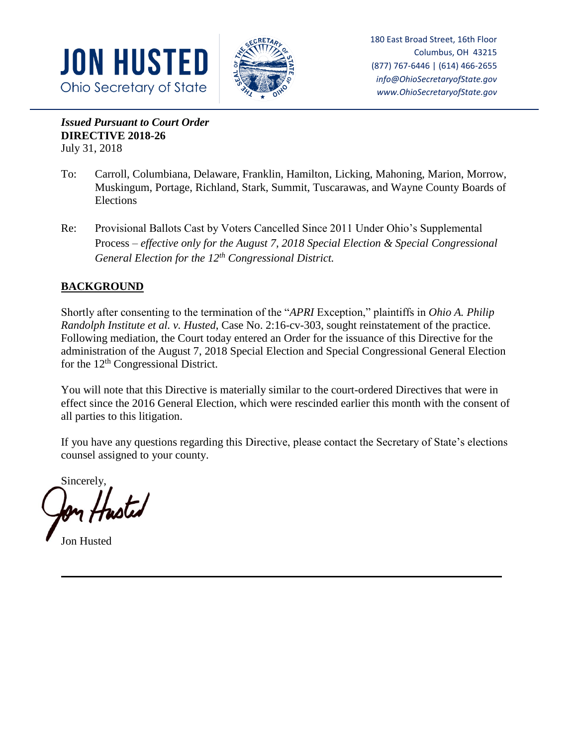



180 East Broad Street, 16th Floor Columbus, OH 43215 (877) 767-6446 | (614) 466-2655 *info@OhioSecretaryofState.gov www.OhioSecretaryofState.gov*

*Issued Pursuant to Court Order*  **DIRECTIVE 2018-26**  July 31, 2018

- To: Carroll, Columbiana, Delaware, Franklin, Hamilton, Licking, Mahoning, Marion, Morrow, Muskingum, Portage, Richland, Stark, Summit, Tuscarawas, and Wayne County Boards of Elections
- Re: Provisional Ballots Cast by Voters Cancelled Since 2011 Under Ohio's Supplemental Process – *effective only for the August 7, 2018 Special Election & Special Congressional General Election for the 12th Congressional District.*

# **BACKGROUND**

Shortly after consenting to the termination of the "*APRI* Exception," plaintiffs in *Ohio A. Philip Randolph Institute et al. v. Husted*, Case No. 2:16-cv-303, sought reinstatement of the practice. Following mediation, the Court today entered an Order for the issuance of this Directive for the administration of the August 7, 2018 Special Election and Special Congressional General Election for the  $12<sup>th</sup>$  Congressional District.

You will note that this Directive is materially similar to the court-ordered Directives that were in effect since the 2016 General Election, which were rescinded earlier this month with the consent of all parties to this litigation.

If you have any questions regarding this Directive, please contact the Secretary of State's elections counsel assigned to your county.

Sincerely,

Jon Husted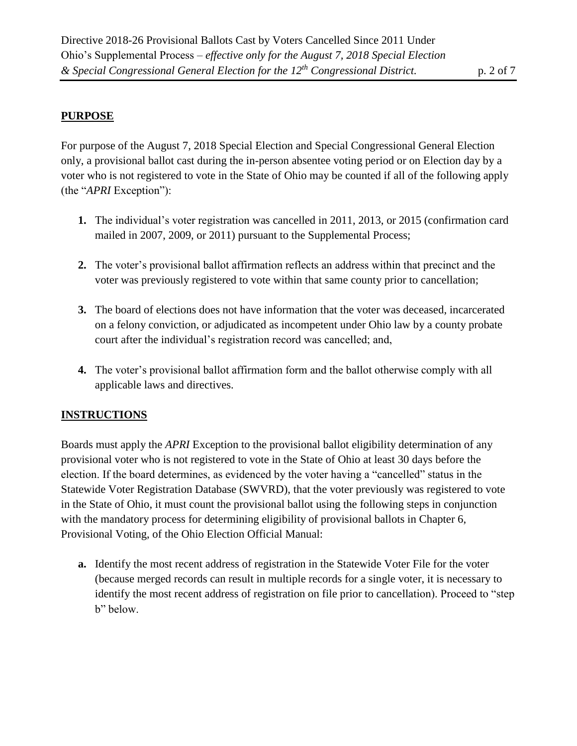# **PURPOSE**

For purpose of the August 7, 2018 Special Election and Special Congressional General Election only, a provisional ballot cast during the in-person absentee voting period or on Election day by a voter who is not registered to vote in the State of Ohio may be counted if all of the following apply (the "*APRI* Exception"):

- **1.** The individual's voter registration was cancelled in 2011, 2013, or 2015 (confirmation card mailed in 2007, 2009, or 2011) pursuant to the Supplemental Process;
- **2.** The voter's provisional ballot affirmation reflects an address within that precinct and the voter was previously registered to vote within that same county prior to cancellation;
- **3.** The board of elections does not have information that the voter was deceased, incarcerated on a felony conviction, or adjudicated as incompetent under Ohio law by a county probate court after the individual's registration record was cancelled; and,
- **4.** The voter's provisional ballot affirmation form and the ballot otherwise comply with all applicable laws and directives.

# **INSTRUCTIONS**

Boards must apply the *APRI* Exception to the provisional ballot eligibility determination of any provisional voter who is not registered to vote in the State of Ohio at least 30 days before the election. If the board determines, as evidenced by the voter having a "cancelled" status in the Statewide Voter Registration Database (SWVRD), that the voter previously was registered to vote in the State of Ohio, it must count the provisional ballot using the following steps in conjunction with the mandatory process for determining eligibility of provisional ballots in Chapter 6, Provisional Voting, of the Ohio Election Official Manual:

**a.** Identify the most recent address of registration in the Statewide Voter File for the voter (because merged records can result in multiple records for a single voter, it is necessary to identify the most recent address of registration on file prior to cancellation). Proceed to "step b" below.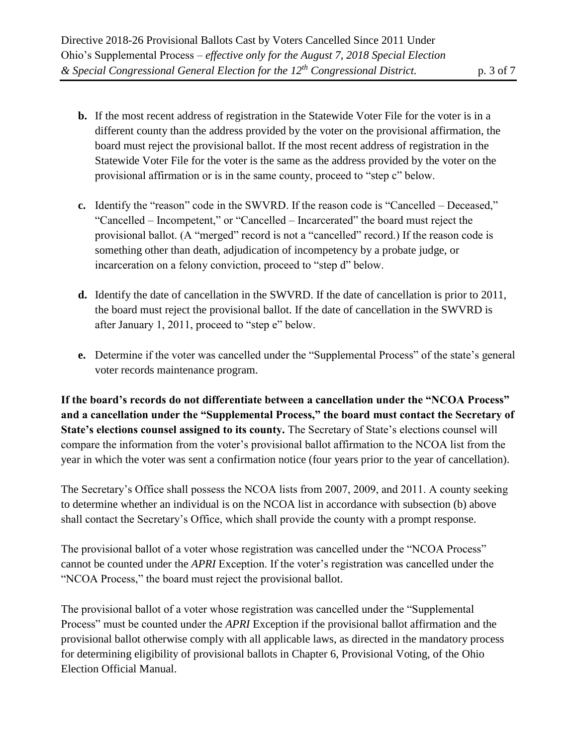- **b.** If the most recent address of registration in the Statewide Voter File for the voter is in a different county than the address provided by the voter on the provisional affirmation, the board must reject the provisional ballot. If the most recent address of registration in the Statewide Voter File for the voter is the same as the address provided by the voter on the provisional affirmation or is in the same county, proceed to "step c" below.
- **c.** Identify the "reason" code in the SWVRD. If the reason code is "Cancelled Deceased," "Cancelled – Incompetent," or "Cancelled – Incarcerated" the board must reject the provisional ballot. (A "merged" record is not a "cancelled" record.) If the reason code is something other than death, adjudication of incompetency by a probate judge, or incarceration on a felony conviction, proceed to "step d" below.
- **d.** Identify the date of cancellation in the SWVRD. If the date of cancellation is prior to 2011, the board must reject the provisional ballot. If the date of cancellation in the SWVRD is after January 1, 2011, proceed to "step e" below.
- **e.** Determine if the voter was cancelled under the "Supplemental Process" of the state's general voter records maintenance program.

**If the board's records do not differentiate between a cancellation under the "NCOA Process" and a cancellation under the "Supplemental Process," the board must contact the Secretary of State's elections counsel assigned to its county.** The Secretary of State's elections counsel will compare the information from the voter's provisional ballot affirmation to the NCOA list from the year in which the voter was sent a confirmation notice (four years prior to the year of cancellation).

The Secretary's Office shall possess the NCOA lists from 2007, 2009, and 2011. A county seeking to determine whether an individual is on the NCOA list in accordance with subsection (b) above shall contact the Secretary's Office, which shall provide the county with a prompt response.

The provisional ballot of a voter whose registration was cancelled under the "NCOA Process" cannot be counted under the *APRI* Exception. If the voter's registration was cancelled under the "NCOA Process," the board must reject the provisional ballot.

The provisional ballot of a voter whose registration was cancelled under the "Supplemental Process" must be counted under the *APRI* Exception if the provisional ballot affirmation and the provisional ballot otherwise comply with all applicable laws, as directed in the mandatory process for determining eligibility of provisional ballots in Chapter 6, Provisional Voting, of the Ohio Election Official Manual.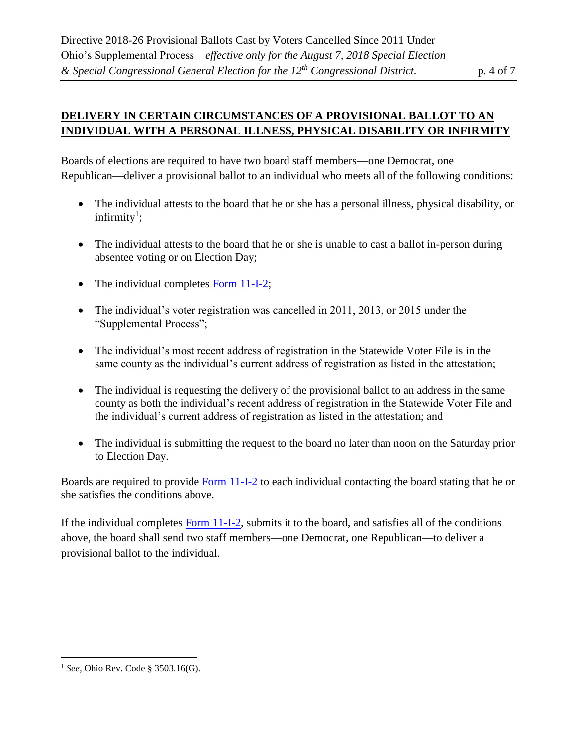### **DELIVERY IN CERTAIN CIRCUMSTANCES OF A PROVISIONAL BALLOT TO AN INDIVIDUAL WITH A PERSONAL ILLNESS, PHYSICAL DISABILITY OR INFIRMITY**

Boards of elections are required to have two board staff members—one Democrat, one Republican—deliver a provisional ballot to an individual who meets all of the following conditions:

- The individual attests to the board that he or she has a personal illness, physical disability, or  $\text{infinity}^1$ ;
- The individual attests to the board that he or she is unable to cast a ballot in-person during absentee voting or on Election Day;
- The individual completes Form  $11-I-2$ ;
- The individual's voter registration was cancelled in 2011, 2013, or 2015 under the "Supplemental Process";
- The individual's most recent address of registration in the Statewide Voter File is in the same county as the individual's current address of registration as listed in the attestation;
- The individual is requesting the delivery of the provisional ballot to an address in the same county as both the individual's recent address of registration in the Statewide Voter File and the individual's current address of registration as listed in the attestation; and
- The individual is submitting the request to the board no later than noon on the Saturday prior to Election Day.

Boards are required to provide [Form 11-I-2](https://www.sos.state.oh.us/globalassets/elections/forms/11-i-2.pdf) to each individual contacting the board stating that he or she satisfies the conditions above.

If the individual completes [Form 11-I-2,](https://www.sos.state.oh.us/globalassets/elections/forms/11-i-2.pdf) submits it to the board, and satisfies all of the conditions above, the board shall send two staff members—one Democrat, one Republican—to deliver a provisional ballot to the individual.

 $\overline{a}$ 

<sup>1</sup> *See,* Ohio Rev. Code § 3503.16(G).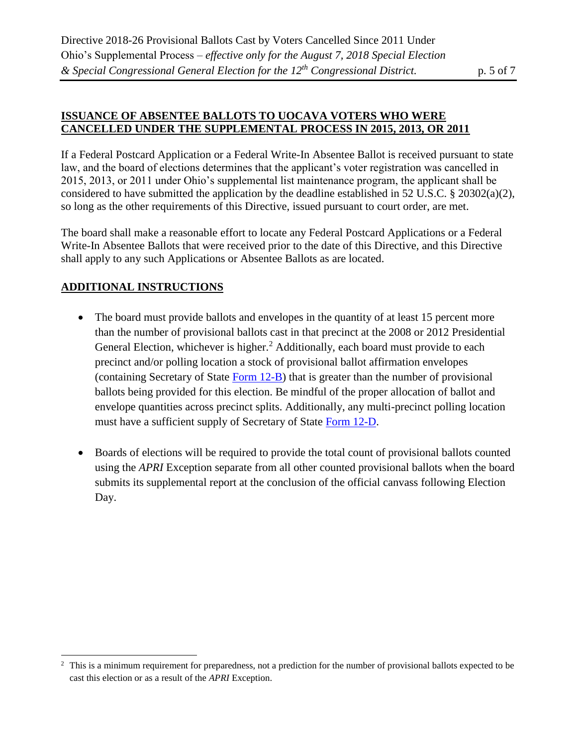#### **ISSUANCE OF ABSENTEE BALLOTS TO UOCAVA VOTERS WHO WERE CANCELLED UNDER THE SUPPLEMENTAL PROCESS IN 2015, 2013, OR 2011**

If a Federal Postcard Application or a Federal Write-In Absentee Ballot is received pursuant to state law, and the board of elections determines that the applicant's voter registration was cancelled in 2015, 2013, or 2011 under Ohio's supplemental list maintenance program, the applicant shall be considered to have submitted the application by the deadline established in 52 U.S.C. § 20302(a)(2), so long as the other requirements of this Directive, issued pursuant to court order, are met.

The board shall make a reasonable effort to locate any Federal Postcard Applications or a Federal Write-In Absentee Ballots that were received prior to the date of this Directive, and this Directive shall apply to any such Applications or Absentee Ballots as are located.

### **ADDITIONAL INSTRUCTIONS**

 $\overline{a}$ 

- The board must provide ballots and envelopes in the quantity of at least 15 percent more than the number of provisional ballots cast in that precinct at the 2008 or 2012 Presidential General Election, whichever is higher.<sup>2</sup> Additionally, each board must provide to each precinct and/or polling location a stock of provisional ballot affirmation envelopes (containing Secretary of State [Form 12-B\)](https://www.sos.state.oh.us/globalassets/elections/forms/12-b_english.pdf) that is greater than the number of provisional ballots being provided for this election. Be mindful of the proper allocation of ballot and envelope quantities across precinct splits. Additionally, any multi-precinct polling location must have a sufficient supply of Secretary of State [Form 12-D.](https://www.sos.state.oh.us/globalassets/elections/forms/12-d.pdf)
- Boards of elections will be required to provide the total count of provisional ballots counted using the *APRI* Exception separate from all other counted provisional ballots when the board submits its supplemental report at the conclusion of the official canvass following Election Day.

 $2\degree$  This is a minimum requirement for preparedness, not a prediction for the number of provisional ballots expected to be cast this election or as a result of the *APRI* Exception.